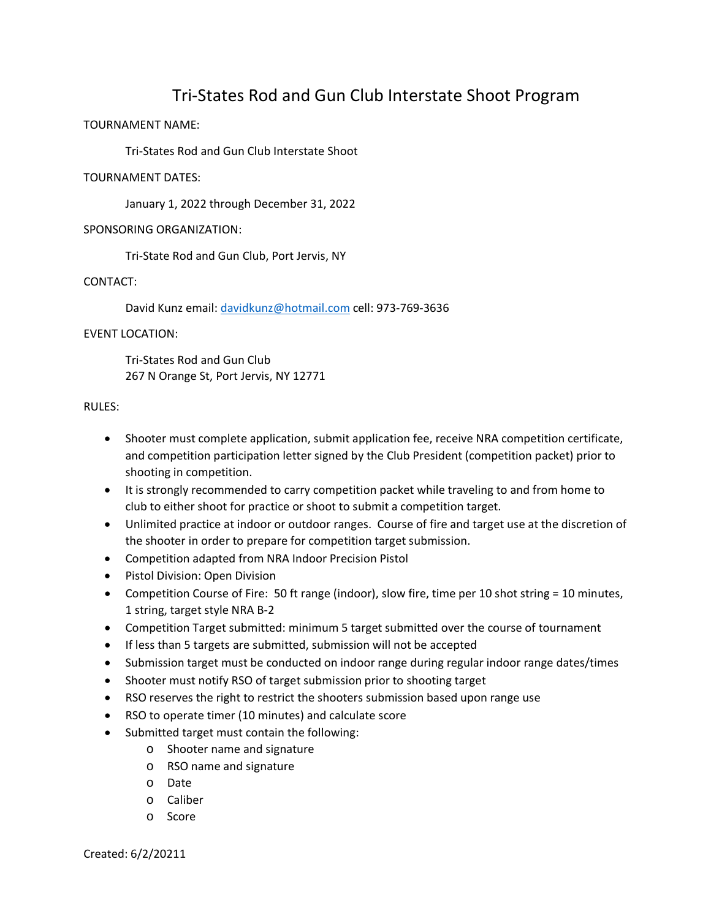# Tri-States Rod and Gun Club Interstate Shoot Program

## TOURNAMENT NAME:

Tri-States Rod and Gun Club Interstate Shoot

#### TOURNAMENT DATES:

January 1, 2022 through December 31, 2022

#### SPONSORING ORGANIZATION:

Tri-State Rod and Gun Club, Port Jervis, NY

#### CONTACT:

David Kunz email: [davidkunz@hotmail.com](mailto:davidkunz@hotmail.com) cell: 973-769-3636

#### EVENT LOCATION:

Tri-States Rod and Gun Club 267 N Orange St, Port Jervis, NY 12771

#### RULES:

- Shooter must complete application, submit application fee, receive NRA competition certificate, and competition participation letter signed by the Club President (competition packet) prior to shooting in competition.
- It is strongly recommended to carry competition packet while traveling to and from home to club to either shoot for practice or shoot to submit a competition target.
- Unlimited practice at indoor or outdoor ranges. Course of fire and target use at the discretion of the shooter in order to prepare for competition target submission.
- Competition adapted from NRA Indoor Precision Pistol
- Pistol Division: Open Division
- Competition Course of Fire: 50 ft range (indoor), slow fire, time per 10 shot string = 10 minutes, 1 string, target style NRA B-2
- Competition Target submitted: minimum 5 target submitted over the course of tournament
- If less than 5 targets are submitted, submission will not be accepted
- Submission target must be conducted on indoor range during regular indoor range dates/times
- Shooter must notify RSO of target submission prior to shooting target
- RSO reserves the right to restrict the shooters submission based upon range use
- RSO to operate timer (10 minutes) and calculate score
- Submitted target must contain the following:
	- o Shooter name and signature
	- o RSO name and signature
	- o Date
	- o Caliber
	- o Score